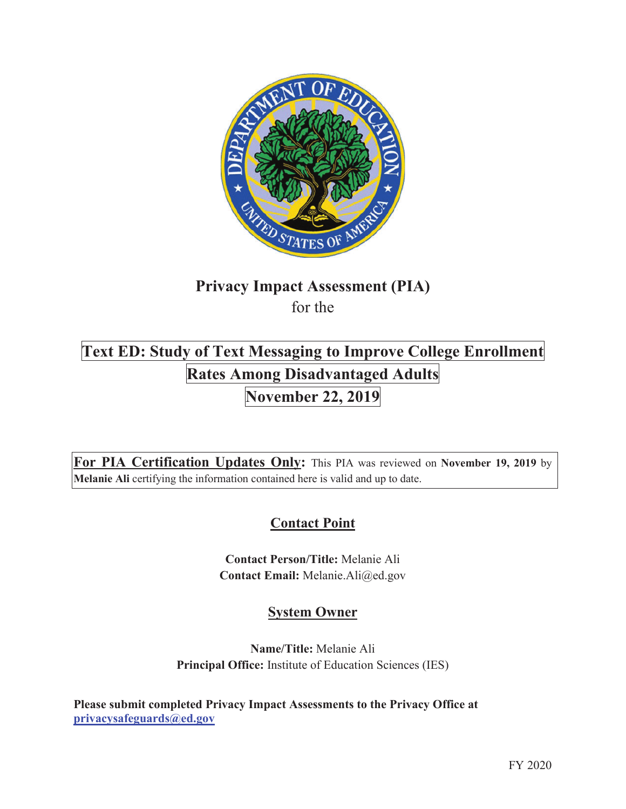

# **Privacy Impact Assessment (PIA)**  for the

# **Text ED: Study of Text Messaging to Improve College Enrollment Rates Among Disadvantaged Adults November 22, 2019**

**For PIA Certification Updates Only:** This PIA was reviewed on **November 19, 2019** by **Melanie Ali** certifying the information contained here is valid and up to date.

# **Contact Point**

**Contact Person/Title:** Melanie Ali **Contact Email:** Melanie.Ali@ed.gov

# **System Owner**

**Name/Title:** Melanie Ali **Principal Office:** Institute of Education Sciences (IES)

**Please submit completed Privacy Impact Assessments to the Privacy Office at privacysafeguards@ed.gov**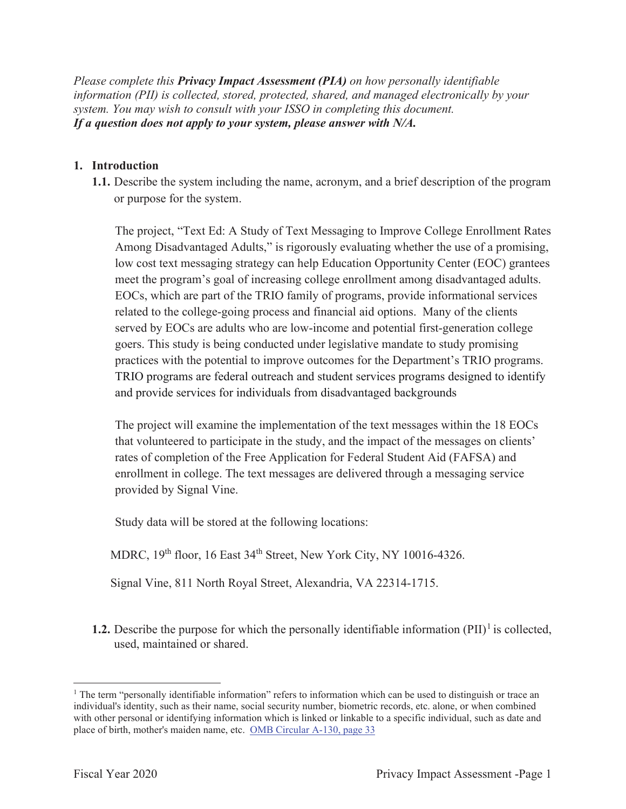*Please complete this Privacy Impact Assessment (PIA) on how personally identifiable information (PII) is collected, stored, protected, shared, and managed electronically by your system. You may wish to consult with your ISSO in completing this document. If a question does not apply to your system, please answer with N/A.*

#### **1. Introduction**

**1.1.** Describe the system including the name, acronym, and a brief description of the program or purpose for the system.

The project, "Text Ed: A Study of Text Messaging to Improve College Enrollment Rates Among Disadvantaged Adults," is rigorously evaluating whether the use of a promising, low cost text messaging strategy can help Education Opportunity Center (EOC) grantees meet the program's goal of increasing college enrollment among disadvantaged adults. EOCs, which are part of the TRIO family of programs, provide informational services related to the college-going process and financial aid options. Many of the clients served by EOCs are adults who are low-income and potential first-generation college goers. This study is being conducted under legislative mandate to study promising practices with the potential to improve outcomes for the Department's TRIO programs. TRIO programs are federal outreach and student services programs designed to identify and provide services for individuals from disadvantaged backgrounds

The project will examine the implementation of the text messages within the 18 EOCs that volunteered to participate in the study, and the impact of the messages on clients' rates of completion of the Free Application for Federal Student Aid (FAFSA) and enrollment in college. The text messages are delivered through a messaging service provided by Signal Vine.

Study data will be stored at the following locations:

MDRC, 19<sup>th</sup> floor, 16 East 34<sup>th</sup> Street, New York City, NY 10016-4326.

Signal Vine, 811 North Royal Street, Alexandria, VA 22314-1715.

**1.2.** Describe the purpose for which the personally identifiable information  $(PII)^{1}$  is collected, used, maintained or shared.

<sup>&</sup>lt;sup>1</sup> The term "personally identifiable information" refers to information which can be used to distinguish or trace an individual's identity, such as their name, social security number, biometric records, etc. alone, or when combined with other personal or identifying information which is linked or linkable to a specific individual, such as date and place of birth, mother's maiden name, etc. OMB Circular A-130, page 33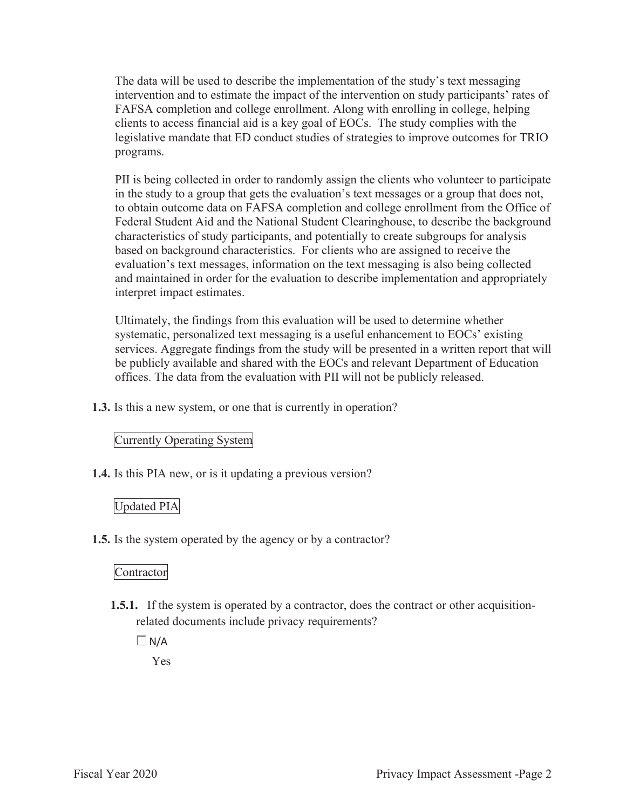The data will be used to describe the implementation of the study's text messaging intervention and to estimate the impact of the intervention on study participants' rates of FAFSA completion and college enrollment. Along with enrolling in college, helping clients to access financial aid is a key goal of EOCs. The study complies with the legislative mandate that ED conduct studies of strategies to improve outcomes for TRIO programs.

PII is being collected in order to randomly assign the clients who volunteer to participate in the study to a group that gets the evaluation's text messages or a group that does not, to obtain outcome data on FAFSA completion and college enrollment from the Office of Federal Student Aid and the National Student Clearinghouse, to describe the background characteristics of study participants, and potentially to create subgroups for analysis based on background characteristics. For clients who are assigned to receive the evaluation's text messages, information on the text messaging is also being collected and maintained in order for the evaluation to describe implementation and appropriately interpret impact estimates.

Ultimately, the findings from this evaluation will be used to determine whether systematic, personalized text messaging is a useful enhancement to EOCs' existing services. Aggregate findings from the study will be presented in a written report that will be publicly available and shared with the EOCs and relevant Department of Education offices. The data from the evaluation with PII will not be publicly released.

**1.3.** Is this a new system, or one that is currently in operation?

# Currently Operating System

**1.4.** Is this PIA new, or is it updating a previous version?

# Updated PIA

**1.5.** Is the system operated by the agency or by a contractor?

# Contractor

**1.5.1.** If the system is operated by a contractor, does the contract or other acquisitionrelated documents include privacy requirements?

 $\Box$  N/A

Yes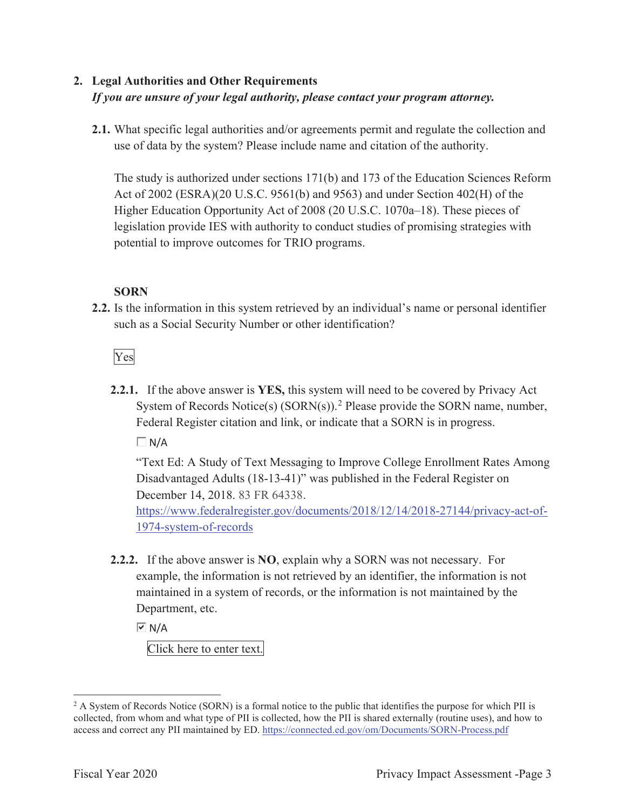# **2. Legal Authorities and Other Requirements**  *If you are unsure of your legal authority, please contact your program attorney.*

**2.1.** What specific legal authorities and/or agreements permit and regulate the collection and use of data by the system? Please include name and citation of the authority.

The study is authorized under sections 171(b) and 173 of the Education Sciences Reform Act of 2002 (ESRA)(20 U.S.C. 9561(b) and 9563) and under Section 402(H) of the Higher Education Opportunity Act of 2008 (20 U.S.C. 1070a–18). These pieces of legislation provide IES with authority to conduct studies of promising strategies with potential to improve outcomes for TRIO programs.

## **SORN**

**2.2.** Is the information in this system retrieved by an individual's name or personal identifier such as a Social Security Number or other identification?

Yes

**2.2.1.** If the above answer is **YES,** this system will need to be covered by Privacy Act System of Records Notice(s)  $(SORN(s))$ .<sup>2</sup> Please provide the SORN name, number, Federal Register citation and link, or indicate that a SORN is in progress.

 $\Box$  N/A

"Text Ed: A Study of Text Messaging to Improve College Enrollment Rates Among Disadvantaged Adults (18-13-41)" was published in the Federal Register on December 14, 2018. 83 FR 64338.

https://www.federalregister.gov/documents/2018/12/14/2018-27144/privacy-act-of-1974-system-of-records

**2.2.2.** If the above answer is **NO**, explain why a SORN was not necessary. For example, the information is not retrieved by an identifier, the information is not maintained in a system of records, or the information is not maintained by the Department, etc.

 $\overline{M}$  N/A

Click here to enter text.

<sup>&</sup>lt;sup>2</sup> A System of Records Notice (SORN) is a formal notice to the public that identifies the purpose for which PII is collected, from whom and what type of PII is collected, how the PII is shared externally (routine uses), and how to access and correct any PII maintained by ED. https://connected.ed.gov/om/Documents/SORN-Process.pdf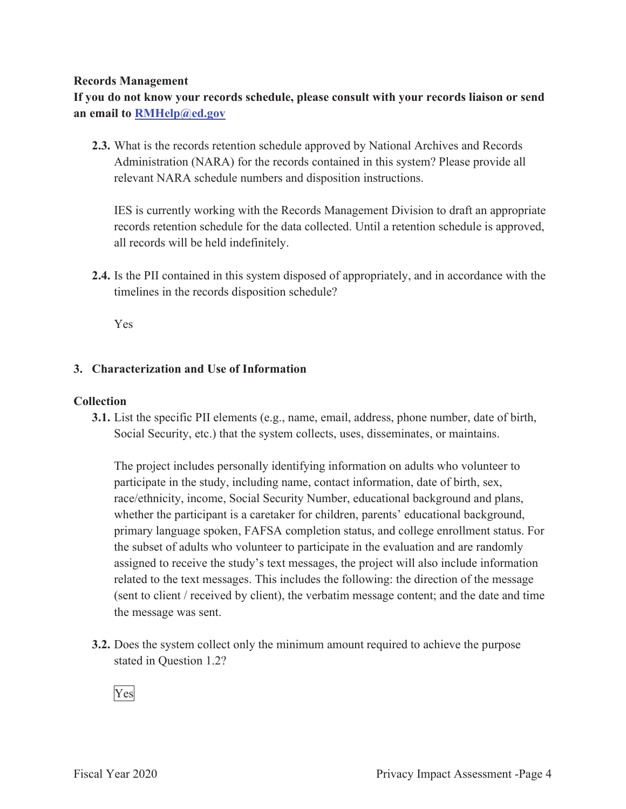#### **Records Management**

**If you do not know your records schedule, please consult with your records liaison or send an email to RMHelp@ed.gov**

**2.3.** What is the records retention schedule approved by National Archives and Records Administration (NARA) for the records contained in this system? Please provide all relevant NARA schedule numbers and disposition instructions.

IES is currently working with the Records Management Division to draft an appropriate records retention schedule for the data collected. Until a retention schedule is approved, all records will be held indefinitely.

**2.4.** Is the PII contained in this system disposed of appropriately, and in accordance with the timelines in the records disposition schedule?

Yes

#### **3. Characterization and Use of Information**

#### **Collection**

**3.1.** List the specific PII elements (e.g., name, email, address, phone number, date of birth, Social Security, etc.) that the system collects, uses, disseminates, or maintains.

The project includes personally identifying information on adults who volunteer to participate in the study, including name, contact information, date of birth, sex, race/ethnicity, income, Social Security Number, educational background and plans, whether the participant is a caretaker for children, parents' educational background, primary language spoken, FAFSA completion status, and college enrollment status. For the subset of adults who volunteer to participate in the evaluation and are randomly assigned to receive the study's text messages, the project will also include information related to the text messages. This includes the following: the direction of the message (sent to client / received by client), the verbatim message content; and the date and time the message was sent.

**3.2.** Does the system collect only the minimum amount required to achieve the purpose stated in Question 1.2?

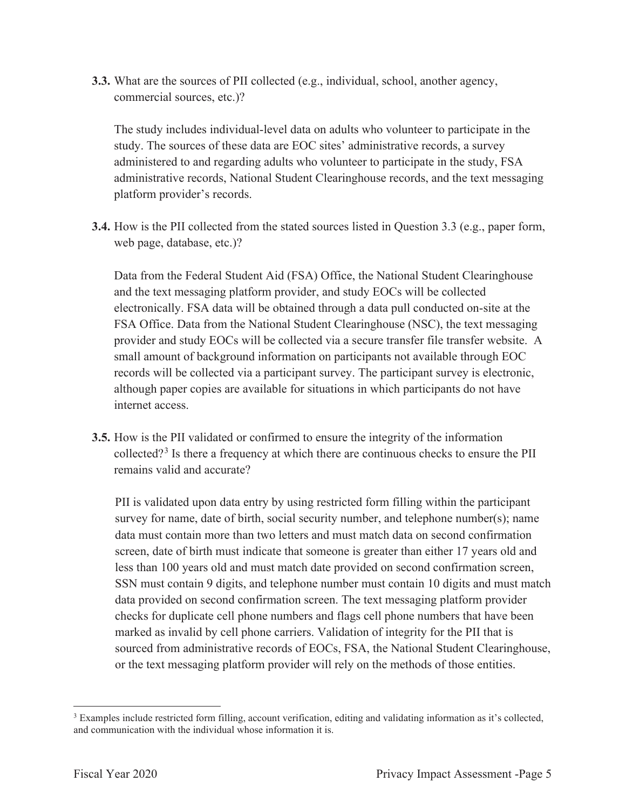**3.3.** What are the sources of PII collected (e.g., individual, school, another agency, commercial sources, etc.)?

The study includes individual-level data on adults who volunteer to participate in the study. The sources of these data are EOC sites' administrative records, a survey administered to and regarding adults who volunteer to participate in the study, FSA administrative records, National Student Clearinghouse records, and the text messaging platform provider's records.

**3.4.** How is the PII collected from the stated sources listed in Question 3.3 (e.g., paper form, web page, database, etc.)?

Data from the Federal Student Aid (FSA) Office, the National Student Clearinghouse and the text messaging platform provider, and study EOCs will be collected electronically. FSA data will be obtained through a data pull conducted on-site at the FSA Office. Data from the National Student Clearinghouse (NSC), the text messaging provider and study EOCs will be collected via a secure transfer file transfer website. A small amount of background information on participants not available through EOC records will be collected via a participant survey. The participant survey is electronic, although paper copies are available for situations in which participants do not have internet access.

**3.5.** How is the PII validated or confirmed to ensure the integrity of the information collected?<sup>3</sup> Is there a frequency at which there are continuous checks to ensure the PII remains valid and accurate?

PII is validated upon data entry by using restricted form filling within the participant survey for name, date of birth, social security number, and telephone number(s); name data must contain more than two letters and must match data on second confirmation screen, date of birth must indicate that someone is greater than either 17 years old and less than 100 years old and must match date provided on second confirmation screen, SSN must contain 9 digits, and telephone number must contain 10 digits and must match data provided on second confirmation screen. The text messaging platform provider checks for duplicate cell phone numbers and flags cell phone numbers that have been marked as invalid by cell phone carriers. Validation of integrity for the PII that is sourced from administrative records of EOCs, FSA, the National Student Clearinghouse, or the text messaging platform provider will rely on the methods of those entities.

<sup>&</sup>lt;sup>3</sup> Examples include restricted form filling, account verification, editing and validating information as it's collected, and communication with the individual whose information it is.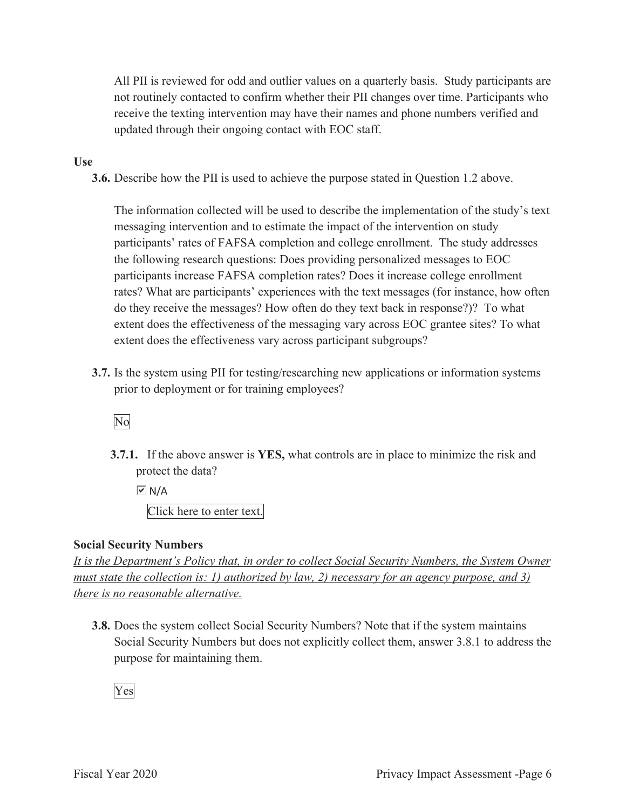All PII is reviewed for odd and outlier values on a quarterly basis. Study participants are not routinely contacted to confirm whether their PII changes over time. Participants who receive the texting intervention may have their names and phone numbers verified and updated through their ongoing contact with EOC staff.

#### **Use**

**3.6.** Describe how the PII is used to achieve the purpose stated in Question 1.2 above.

The information collected will be used to describe the implementation of the study's text messaging intervention and to estimate the impact of the intervention on study participants' rates of FAFSA completion and college enrollment. The study addresses the following research questions: Does providing personalized messages to EOC participants increase FAFSA completion rates? Does it increase college enrollment rates? What are participants' experiences with the text messages (for instance, how often do they receive the messages? How often do they text back in response?)? To what extent does the effectiveness of the messaging vary across EOC grantee sites? To what extent does the effectiveness vary across participant subgroups?

**3.7.** Is the system using PII for testing/researching new applications or information systems prior to deployment or for training employees?

# No

**3.7.1.** If the above answer is **YES,** what controls are in place to minimize the risk and protect the data?

 $\overline{V}$  N/A

Click here to enter text.

#### **Social Security Numbers**

*It is the Department's Policy that, in order to collect Social Security Numbers, the System Owner must state the collection is: 1) authorized by law, 2) necessary for an agency purpose, and 3) there is no reasonable alternative.* 

**3.8.** Does the system collect Social Security Numbers? Note that if the system maintains Social Security Numbers but does not explicitly collect them, answer 3.8.1 to address the purpose for maintaining them.

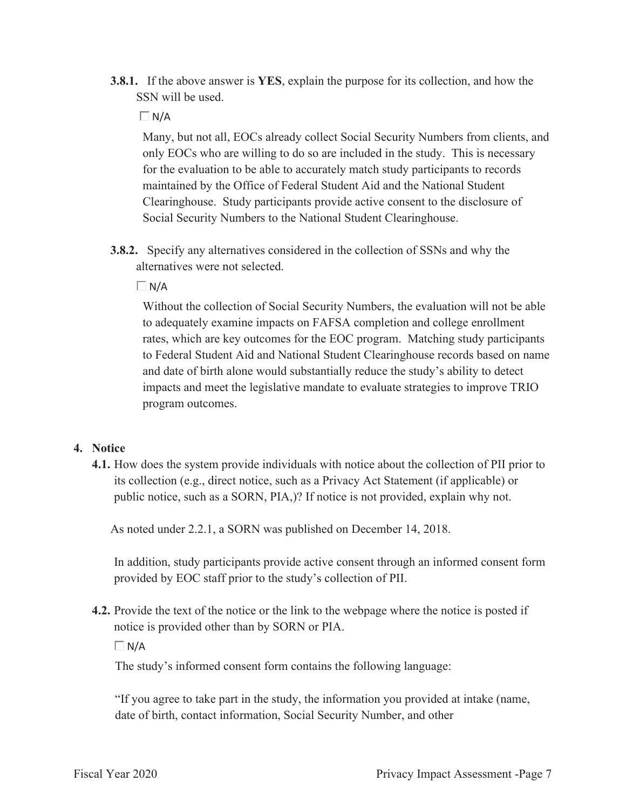**3.8.1.** If the above answer is **YES**, explain the purpose for its collection, and how the SSN will be used.

#### $\Box$  N/A

Many, but not all, EOCs already collect Social Security Numbers from clients, and only EOCs who are willing to do so are included in the study. This is necessary for the evaluation to be able to accurately match study participants to records maintained by the Office of Federal Student Aid and the National Student Clearinghouse. Study participants provide active consent to the disclosure of Social Security Numbers to the National Student Clearinghouse.

**3.8.2.** Specify any alternatives considered in the collection of SSNs and why the alternatives were not selected.

 $\Box$ N/A

Without the collection of Social Security Numbers, the evaluation will not be able to adequately examine impacts on FAFSA completion and college enrollment rates, which are key outcomes for the EOC program. Matching study participants to Federal Student Aid and National Student Clearinghouse records based on name and date of birth alone would substantially reduce the study's ability to detect impacts and meet the legislative mandate to evaluate strategies to improve TRIO program outcomes.

#### **4. Notice**

**4.1.** How does the system provide individuals with notice about the collection of PII prior to its collection (e.g., direct notice, such as a Privacy Act Statement (if applicable) or public notice, such as a SORN, PIA,)? If notice is not provided, explain why not.

As noted under 2.2.1, a SORN was published on December 14, 2018.

In addition, study participants provide active consent through an informed consent form provided by EOC staff prior to the study's collection of PII.

**4.2.** Provide the text of the notice or the link to the webpage where the notice is posted if notice is provided other than by SORN or PIA.

 $\Box N/A$ 

The study's informed consent form contains the following language:

"If you agree to take part in the study, the information you provided at intake (name, date of birth, contact information, Social Security Number, and other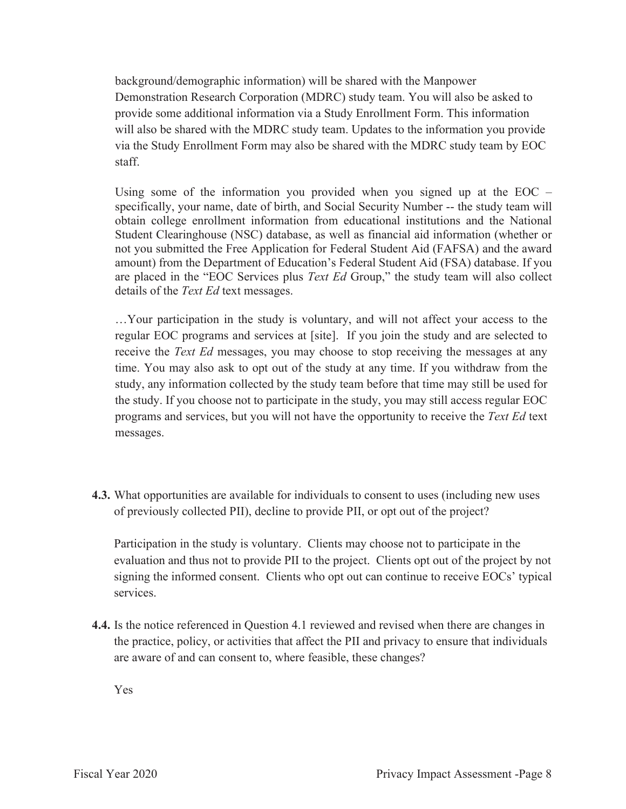background/demographic information) will be shared with the Manpower Demonstration Research Corporation (MDRC) study team. You will also be asked to provide some additional information via a Study Enrollment Form. This information will also be shared with the MDRC study team. Updates to the information you provide via the Study Enrollment Form may also be shared with the MDRC study team by EOC staff.

Using some of the information you provided when you signed up at the  $EOC$  – specifically, your name, date of birth, and Social Security Number -- the study team will obtain college enrollment information from educational institutions and the National Student Clearinghouse (NSC) database, as well as financial aid information (whether or not you submitted the Free Application for Federal Student Aid (FAFSA) and the award amount) from the Department of Education's Federal Student Aid (FSA) database. If you are placed in the "EOC Services plus *Text Ed* Group," the study team will also collect details of the *Text Ed* text messages.

…Your participation in the study is voluntary, and will not affect your access to the regular EOC programs and services at [site]. If you join the study and are selected to receive the *Text Ed* messages, you may choose to stop receiving the messages at any time. You may also ask to opt out of the study at any time. If you withdraw from the study, any information collected by the study team before that time may still be used for the study. If you choose not to participate in the study, you may still access regular EOC programs and services, but you will not have the opportunity to receive the *Text Ed* text messages.

**4.3.** What opportunities are available for individuals to consent to uses (including new uses of previously collected PII), decline to provide PII, or opt out of the project?

Participation in the study is voluntary. Clients may choose not to participate in the evaluation and thus not to provide PII to the project. Clients opt out of the project by not signing the informed consent. Clients who opt out can continue to receive EOCs' typical services.

**4.4.** Is the notice referenced in Question 4.1 reviewed and revised when there are changes in the practice, policy, or activities that affect the PII and privacy to ensure that individuals are aware of and can consent to, where feasible, these changes?

Yes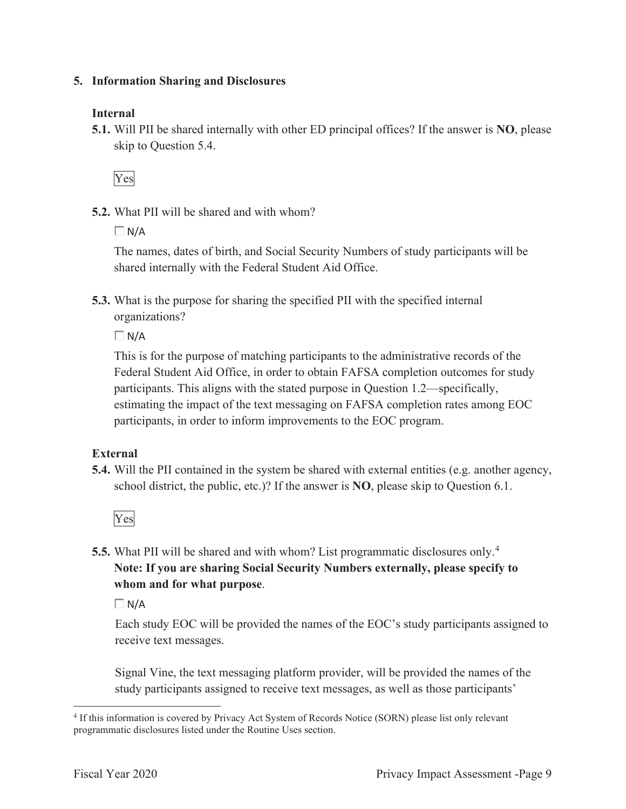#### **5. Information Sharing and Disclosures**

## **Internal**

**5.1.** Will PII be shared internally with other ED principal offices? If the answer is **NO**, please skip to Question 5.4.

Yes

**5.2.** What PII will be shared and with whom?

 $\Box$ N/A

The names, dates of birth, and Social Security Numbers of study participants will be shared internally with the Federal Student Aid Office.

**5.3.** What is the purpose for sharing the specified PII with the specified internal organizations?

 $\Box$  N/A

This is for the purpose of matching participants to the administrative records of the Federal Student Aid Office, in order to obtain FAFSA completion outcomes for study participants. This aligns with the stated purpose in Question 1.2—specifically, estimating the impact of the text messaging on FAFSA completion rates among EOC participants, in order to inform improvements to the EOC program.

# **External**

**5.4.** Will the PII contained in the system be shared with external entities (e.g. another agency, school district, the public, etc.)? If the answer is **NO**, please skip to Question 6.1.

Yes

**5.5.** What PII will be shared and with whom? List programmatic disclosures only.<sup>4</sup> **Note: If you are sharing Social Security Numbers externally, please specify to whom and for what purpose**.

 $\Box$  N/A

Each study EOC will be provided the names of the EOC's study participants assigned to receive text messages.

Signal Vine, the text messaging platform provider, will be provided the names of the study participants assigned to receive text messages, as well as those participants'

<sup>4</sup> If this information is covered by Privacy Act System of Records Notice (SORN) please list only relevant programmatic disclosures listed under the Routine Uses section.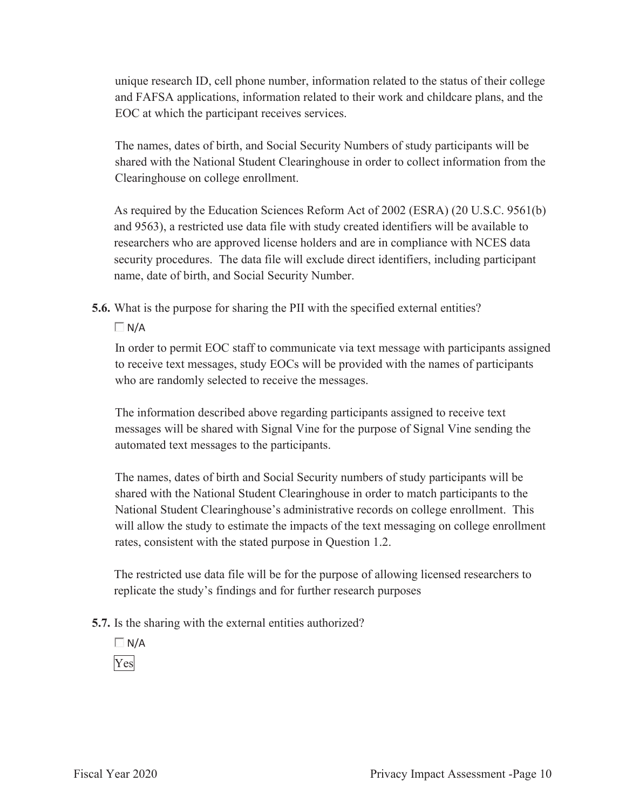unique research ID, cell phone number, information related to the status of their college and FAFSA applications, information related to their work and childcare plans, and the EOC at which the participant receives services.

The names, dates of birth, and Social Security Numbers of study participants will be shared with the National Student Clearinghouse in order to collect information from the Clearinghouse on college enrollment.

As required by the Education Sciences Reform Act of 2002 (ESRA) (20 U.S.C. 9561(b) and 9563), a restricted use data file with study created identifiers will be available to researchers who are approved license holders and are in compliance with NCES data security procedures. The data file will exclude direct identifiers, including participant name, date of birth, and Social Security Number.

**5.6.** What is the purpose for sharing the PII with the specified external entities?

 $\Box N/A$ 

In order to permit EOC staff to communicate via text message with participants assigned to receive text messages, study EOCs will be provided with the names of participants who are randomly selected to receive the messages.

The information described above regarding participants assigned to receive text messages will be shared with Signal Vine for the purpose of Signal Vine sending the automated text messages to the participants.

The names, dates of birth and Social Security numbers of study participants will be shared with the National Student Clearinghouse in order to match participants to the National Student Clearinghouse's administrative records on college enrollment. This will allow the study to estimate the impacts of the text messaging on college enrollment rates, consistent with the stated purpose in Question 1.2.

The restricted use data file will be for the purpose of allowing licensed researchers to replicate the study's findings and for further research purposes

- **5.7.** Is the sharing with the external entities authorized?
	- $\Box$  N/A Yes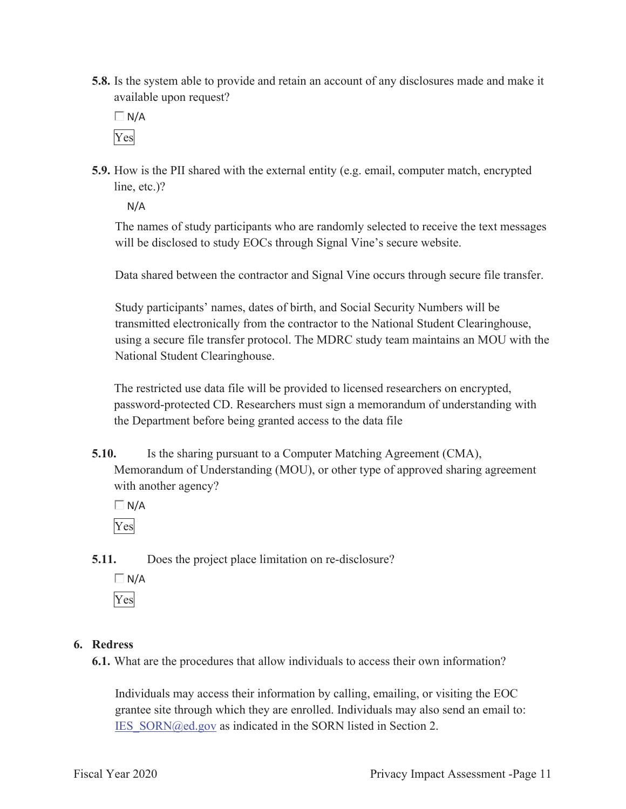**5.8.** Is the system able to provide and retain an account of any disclosures made and make it available upon request?

 $\Box$  N/A Yes

**5.9.** How is the PII shared with the external entity (e.g. email, computer match, encrypted line, etc.)?

N/A

The names of study participants who are randomly selected to receive the text messages will be disclosed to study EOCs through Signal Vine's secure website.

Data shared between the contractor and Signal Vine occurs through secure file transfer.

Study participants' names, dates of birth, and Social Security Numbers will be transmitted electronically from the contractor to the National Student Clearinghouse, using a secure file transfer protocol. The MDRC study team maintains an MOU with the National Student Clearinghouse.

The restricted use data file will be provided to licensed researchers on encrypted, password-protected CD. Researchers must sign a memorandum of understanding with the Department before being granted access to the data file

**5.10.** Is the sharing pursuant to a Computer Matching Agreement (CMA), Memorandum of Understanding (MOU), or other type of approved sharing agreement with another agency?

 $\Box$  N/A Yes

**5.11.** Does the project place limitation on re-disclosure?

 $\Box N/A$ Yes

# **6. Redress**

**6.1.** What are the procedures that allow individuals to access their own information?

Individuals may access their information by calling, emailing, or visiting the EOC grantee site through which they are enrolled. Individuals may also send an email to: IES\_SORN@ed.gov as indicated in the SORN listed in Section 2.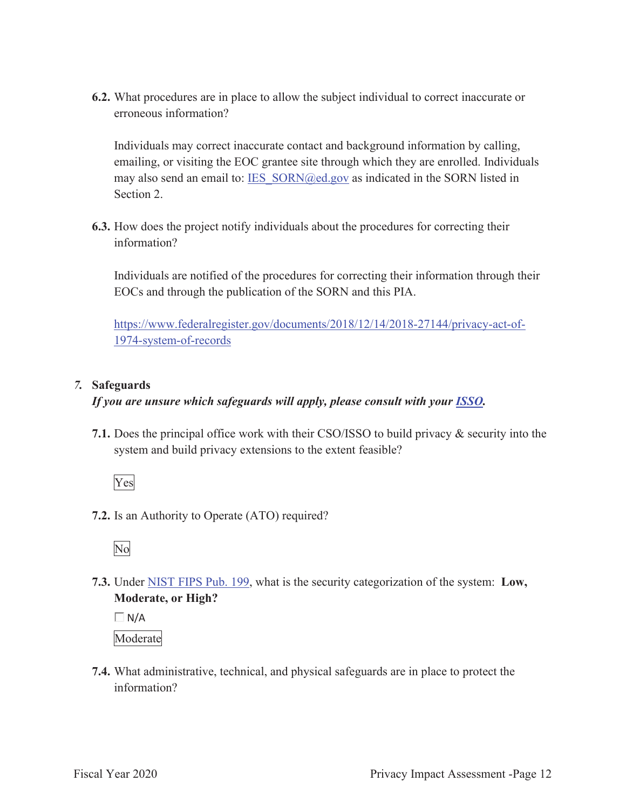**6.2.** What procedures are in place to allow the subject individual to correct inaccurate or erroneous information?

Individuals may correct inaccurate contact and background information by calling, emailing, or visiting the EOC grantee site through which they are enrolled. Individuals may also send an email to: IES\_SORN@ed.gov as indicated in the SORN listed in Section 2.

**6.3.** How does the project notify individuals about the procedures for correcting their information?

Individuals are notified of the procedures for correcting their information through their EOCs and through the publication of the SORN and this PIA.

https://www.federalregister.gov/documents/2018/12/14/2018-27144/privacy-act-of-1974-system-of-records

## *7.* **Safeguards**

## *If you are unsure which safeguards will apply, please consult with your ISSO.*

**7.1.** Does the principal office work with their CSO/ISSO to build privacy & security into the system and build privacy extensions to the extent feasible?

Yes

**7.2.** Is an Authority to Operate (ATO) required?

No

**7.3.** Under NIST FIPS Pub. 199, what is the security categorization of the system: **Low, Moderate, or High?** 

 $\Box$  N/A

Moderate

**7.4.** What administrative, technical, and physical safeguards are in place to protect the information?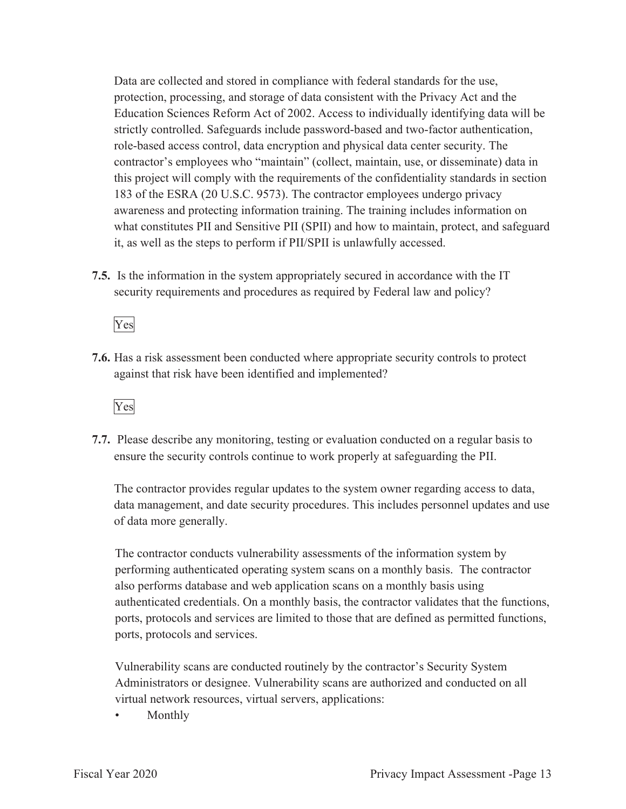Data are collected and stored in compliance with federal standards for the use, protection, processing, and storage of data consistent with the Privacy Act and the Education Sciences Reform Act of 2002. Access to individually identifying data will be strictly controlled. Safeguards include password-based and two-factor authentication, role-based access control, data encryption and physical data center security. The contractor's employees who "maintain" (collect, maintain, use, or disseminate) data in this project will comply with the requirements of the confidentiality standards in section 183 of the ESRA (20 U.S.C. 9573). The contractor employees undergo privacy awareness and protecting information training. The training includes information on what constitutes PII and Sensitive PII (SPII) and how to maintain, protect, and safeguard it, as well as the steps to perform if PII/SPII is unlawfully accessed.

**7.5.** Is the information in the system appropriately secured in accordance with the IT security requirements and procedures as required by Federal law and policy?

Yes

**7.6.** Has a risk assessment been conducted where appropriate security controls to protect against that risk have been identified and implemented?



**7.7.** Please describe any monitoring, testing or evaluation conducted on a regular basis to ensure the security controls continue to work properly at safeguarding the PII.

The contractor provides regular updates to the system owner regarding access to data, data management, and date security procedures. This includes personnel updates and use of data more generally.

The contractor conducts vulnerability assessments of the information system by performing authenticated operating system scans on a monthly basis. The contractor also performs database and web application scans on a monthly basis using authenticated credentials. On a monthly basis, the contractor validates that the functions, ports, protocols and services are limited to those that are defined as permitted functions, ports, protocols and services.

Vulnerability scans are conducted routinely by the contractor's Security System Administrators or designee. Vulnerability scans are authorized and conducted on all virtual network resources, virtual servers, applications:

• Monthly